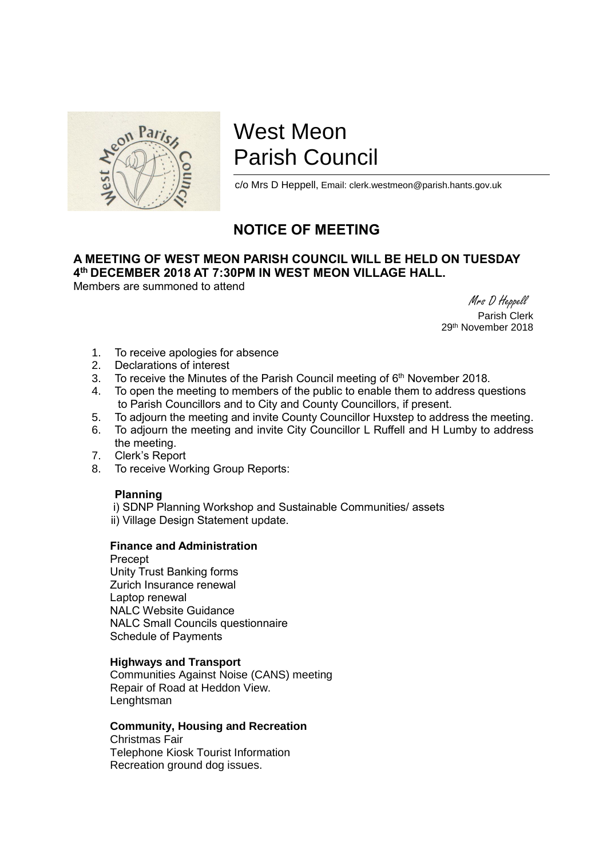

# West Meon Parish Council

c/o Mrs D Heppell, Email: clerk.westmeon@parish.hants.gov.uk

## **NOTICE OF MEETING**

### **A MEETING OF WEST MEON PARISH COUNCIL WILL BE HELD ON TUESDAY 4 th DECEMBER 2018 AT 7:30PM IN WEST MEON VILLAGE HALL.**

Members are summoned to attend

 Mrs D Heppell Parish Clerk 29th November 2018

- 1. To receive apologies for absence
- 2. Declarations of interest
- 3. To receive the Minutes of the Parish Council meeting of  $6<sup>th</sup>$  November 2018.
- 4. To open the meeting to members of the public to enable them to address questions to Parish Councillors and to City and County Councillors, if present.
- 5. To adjourn the meeting and invite County Councillor Huxstep to address the meeting.
- 6. To adjourn the meeting and invite City Councillor L Ruffell and H Lumby to address the meeting.
- 7. Clerk's Report
- 8. To receive Working Group Reports:

#### **Planning**

 i) SDNP Planning Workshop and Sustainable Communities/ assets ii) Village Design Statement update.

#### **Finance and Administration**

Precept Unity Trust Banking forms Zurich Insurance renewal Laptop renewal NALC Website Guidance NALC Small Councils questionnaire Schedule of Payments

#### **Highways and Transport**

Communities Against Noise (CANS) meeting Repair of Road at Heddon View. **Lenghtsman** 

#### **Community, Housing and Recreation**

Christmas Fair Telephone Kiosk Tourist Information Recreation ground dog issues.